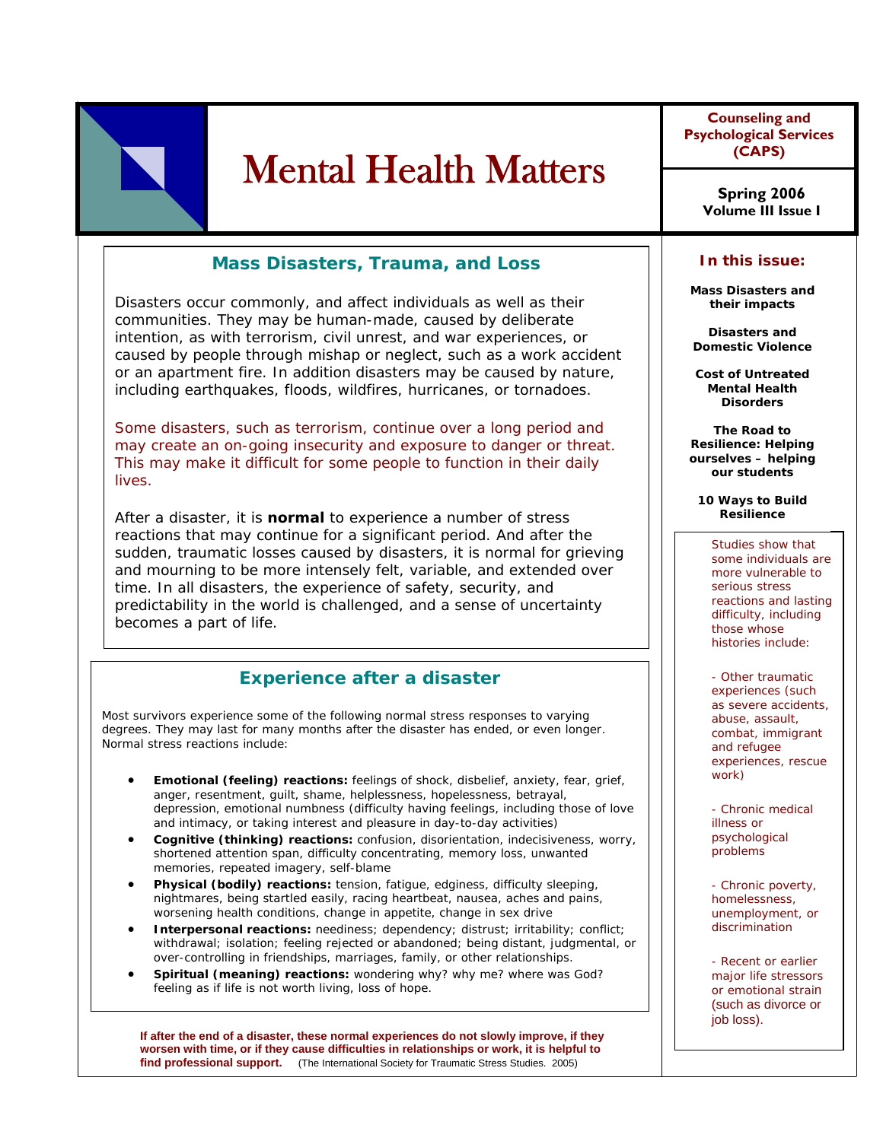

# Mental Health Matters

# **Mass Disasters, Trauma, and Loss**

Disasters occur commonly, and affect individuals as well as their communities. They may be human-made, caused by deliberate intention, as with terrorism, civil unrest, and war experiences, or caused by people through mishap or neglect, such as a work accident or an apartment fire. In addition disasters may be caused by nature, including earthquakes, floods, wildfires, hurricanes, or tornadoes.

*Some disasters, such as terrorism, continue over a long period and may create an on-going insecurity and exposure to danger or threat. This may make it difficult for some people to function in their daily lives.* 

After a disaster, it is *normal* to experience a number of stress reactions that may continue for a significant period. And after the sudden, traumatic losses caused by disasters, it is normal for grieving and mourning to be more intensely felt, variable, and extended over time. In all disasters, the experience of safety, security, and predictability in the world is challenged, and a sense of uncertainty becomes a part of life.

### **Experience after a disaster**

Most survivors experience some of the following *normal stress responses* to varying degrees. They may last for many months after the disaster has ended, or even longer. Normal stress reactions include:

- **Emotional (feeling) reactions:** feelings of shock, disbelief, anxiety, fear, grief, anger, resentment, guilt, shame, helplessness, hopelessness, betrayal, depression, emotional numbness (difficulty having feelings, including those of love and intimacy, or taking interest and pleasure in day-to-day activities)
- **Cognitive (thinking) reactions:** confusion, disorientation, indecisiveness, worry, shortened attention span, difficulty concentrating, memory loss, unwanted memories, repeated imagery, self-blame
- **Physical (bodily) reactions:** tension, fatigue, edginess, difficulty sleeping, nightmares, being startled easily, racing heartbeat, nausea, aches and pains, worsening health conditions, change in appetite, change in sex drive
- **Interpersonal reactions:** neediness; dependency; distrust; irritability; conflict; withdrawal; isolation; feeling rejected or abandoned; being distant, judgmental, or over-controlling in friendships, marriages, family, or other relationships.
- **Spiritual (meaning) reactions:** wondering why? why me? where was God? feeling as if life is not worth living, loss of hope.

**If after the end of a disaster, these normal experiences do not slowly improve, if they worsen with time, or if they cause difficulties in relationships or work, it is helpful to**  find professional support. (The International Society for Traumatic Stress Studies. 2005)

**Counseling and Psychological Services** 

#### **Spring 2006 Volume III Issue I**

#### **In this issue:**

**Mass Disasters and their impacts** 

**Disasters and Domestic Violence** 

**Cost of Untreated Mental Health Disorders** 

**The Road to Resilience: Helping ourselves – helping our students** 

**10 Ways to Build Resilience** 

> Studies show that some individuals are more vulnerable to serious stress reactions and lasting difficulty, including those whose histories include:

- Other traumatic experiences (such as severe accidents, abuse, assault, combat, immigrant and refugee experiences, rescue work)

- Chronic medical illness or psychological problems

- Chronic poverty, homelessness, unemployment, or discrimination

- Recent or earlier major life stressors or emotional strain (such as divorce or iob loss).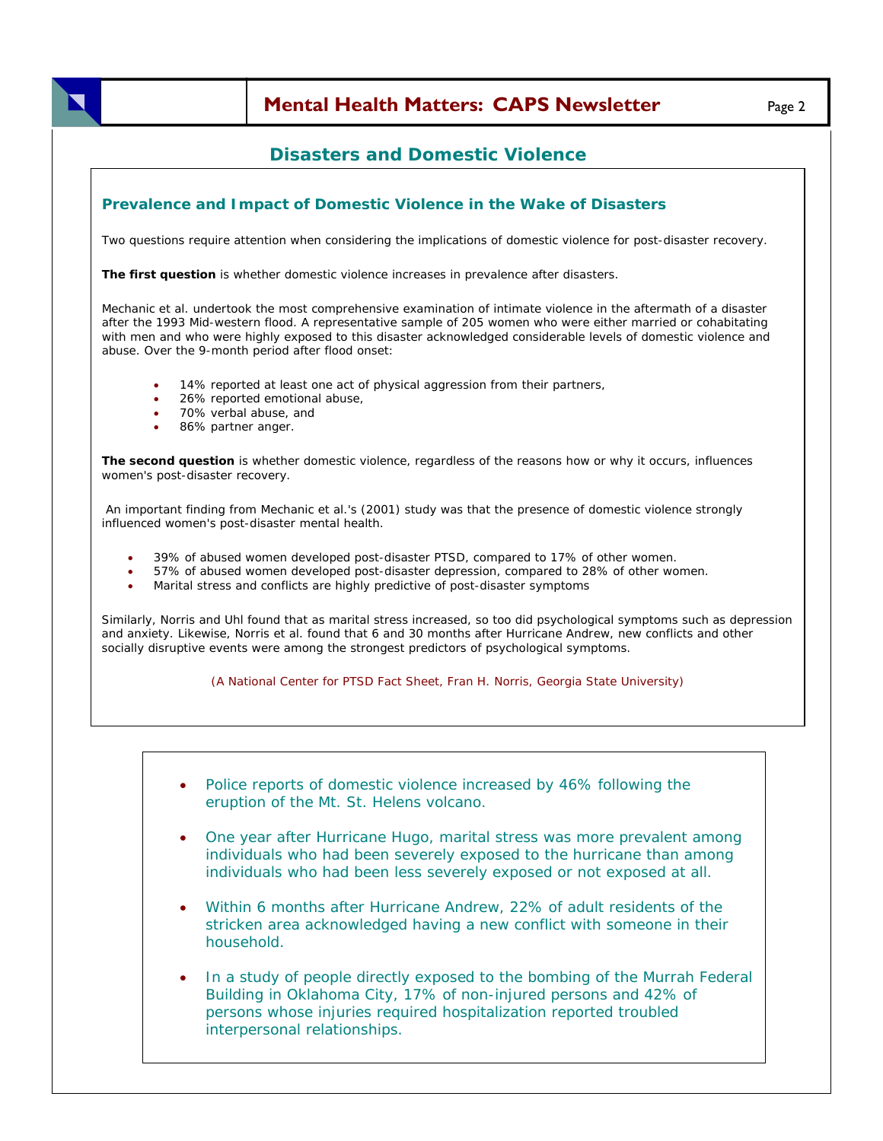## **Mental Health Matters: CAPS Newsletter** Page 2

## **Disasters and Domestic Violence**

#### **Prevalence and Impact of Domestic Violence in the Wake of Disasters**

Two questions require attention when considering the implications of domestic violence for post-disaster recovery.

**The first question** is whether domestic violence increases in prevalence after disasters.

Mechanic et al. undertook the most comprehensive examination of intimate violence in the aftermath of a disaster after the 1993 Mid-western flood. A representative sample of 205 women who were either married or cohabitating with men and who were highly exposed to this disaster acknowledged considerable levels of domestic violence and abuse. Over the 9-month period after flood onset:

- 14% reported at least one act of physical aggression from their partners,
- 26% reported emotional abuse,
- 70% verbal abuse, and
- 86% partner anger.

*The second question* is whether domestic violence, regardless of the reasons how or why it occurs, influences women's post-disaster recovery.

 An important finding from Mechanic et al.'s (2001) study was that the presence of domestic violence strongly influenced women's post-disaster mental health.

- 39% of abused women developed post-disaster PTSD, compared to 17% of other women.
- 57% of abused women developed post-disaster depression, compared to 28% of other women.
- Marital stress and conflicts are highly predictive of post-disaster symptoms

Similarly, Norris and Uhl found that as marital stress increased, so too did psychological symptoms such as depression and anxiety. Likewise, Norris et al. found that 6 and 30 months after Hurricane Andrew, new conflicts and other socially disruptive events were among the strongest predictors of psychological symptoms.

(A National Center for PTSD Fact Sheet, Fran H. Norris, Georgia State University)

- Police reports of domestic violence increased by 46% following the eruption of the Mt. St. Helens volcano.
- One year after Hurricane Hugo, marital stress was more prevalent among individuals who had been severely exposed to the hurricane than among individuals who had been less severely exposed or not exposed at all.
- Within 6 months after Hurricane Andrew, 22% of adult residents of the stricken area acknowledged having a new conflict with someone in their household.
- In a study of people directly exposed to the bombing of the Murrah Federal Building in Oklahoma City, 17% of non-injured persons and 42% of persons whose injuries required hospitalization reported troubled interpersonal relationships.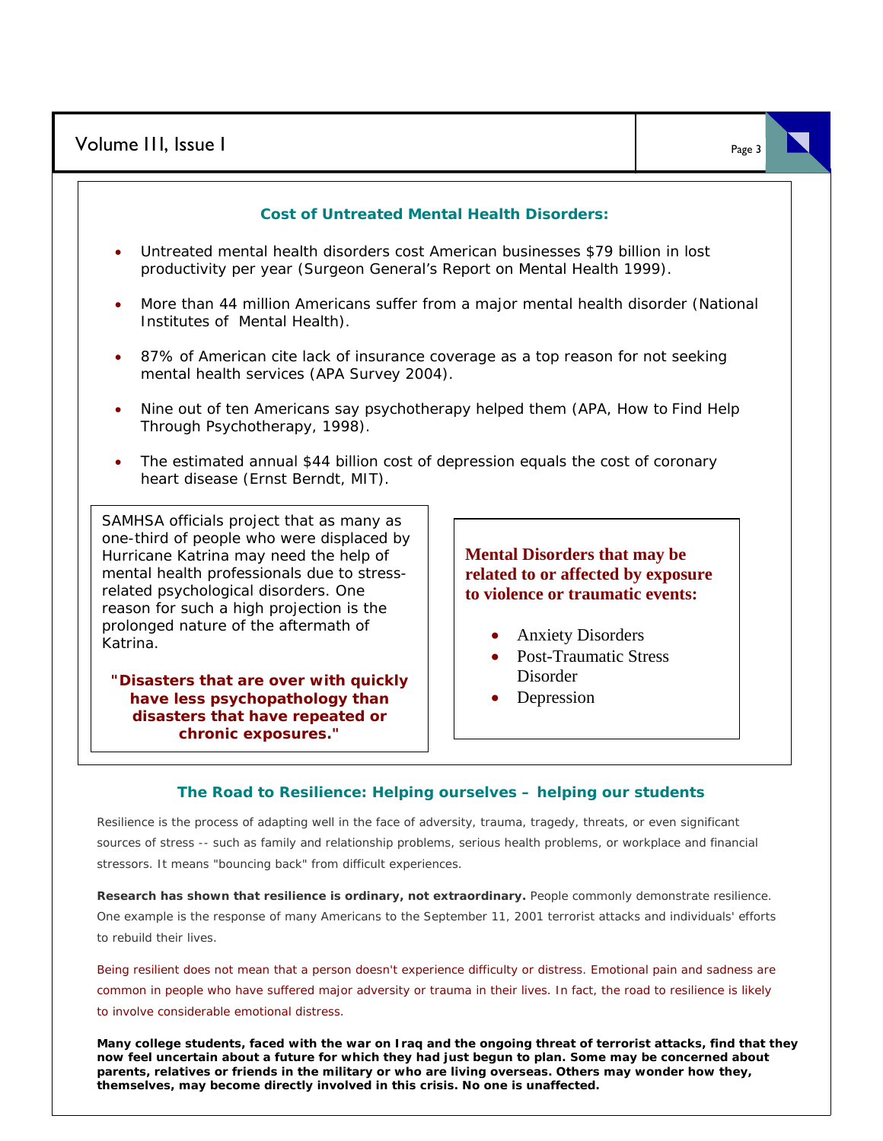Volume III, Issue I  $P_{\text{age 3}}$ 



#### **Cost of Untreated Mental Health Disorders:**  • Untreated mental health disorders cost American businesses \$79 billion in lost productivity per year (Surgeon General's Report on Mental Health 1999). • More than 44 million Americans suffer from a major mental health disorder (National Institutes of Mental Health). • 87% of American cite lack of insurance coverage as a top reason for not seeking mental health services (APA Survey 2004). • Nine out of ten Americans say psychotherapy helped them (APA, How to Find Help Through Psychotherapy, 1998). The estimated annual \$44 billion cost of depression equals the cost of coronary heart disease (Ernst Berndt, MIT). SAMHSA officials project that as many as one-third of people who were displaced by Hurricane Katrina may need the help of mental health professionals due to stressrelated psychological disorders. One reason for such a high projection is the prolonged nature of the aftermath of Katrina. *"Disasters that are over with quickly have less psychopathology than*  **Mental Disorders that may be related to or affected by exposure to violence or traumatic events:**  • Anxiety Disorders • Post-Traumatic Stress Disorder **Depression**

#### **The Road to Resilience: Helping ourselves – helping our students**

Resilience is the process of adapting well in the face of adversity, trauma, tragedy, threats, or even significant sources of stress -- such as family and relationship problems, serious health problems, or workplace and financial stressors. It means "bouncing back" from difficult experiences.

*disasters that have repeated or chronic exposures."* 

**Research has shown that resilience is ordinary, not extraordinary.** *People commonly demonstrate resilience.* One example is the response of many Americans to the September 11, 2001 terrorist attacks and individuals' efforts to rebuild their lives.

*Being resilient does not mean that a person doesn't experience difficulty or distress. Emotional pain and sadness are common in people who have suffered major adversity or trauma in their lives. In fact, the road to resilience is likely to involve considerable emotional distress.* 

**Many college students, faced with the war on Iraq and the ongoing threat of terrorist attacks, find that they now feel uncertain about a future for which they had just begun to plan. Some may be concerned about parents, relatives or friends in the military or who are living overseas. Others may wonder how they, themselves, may become directly involved in this crisis. No one is unaffected.**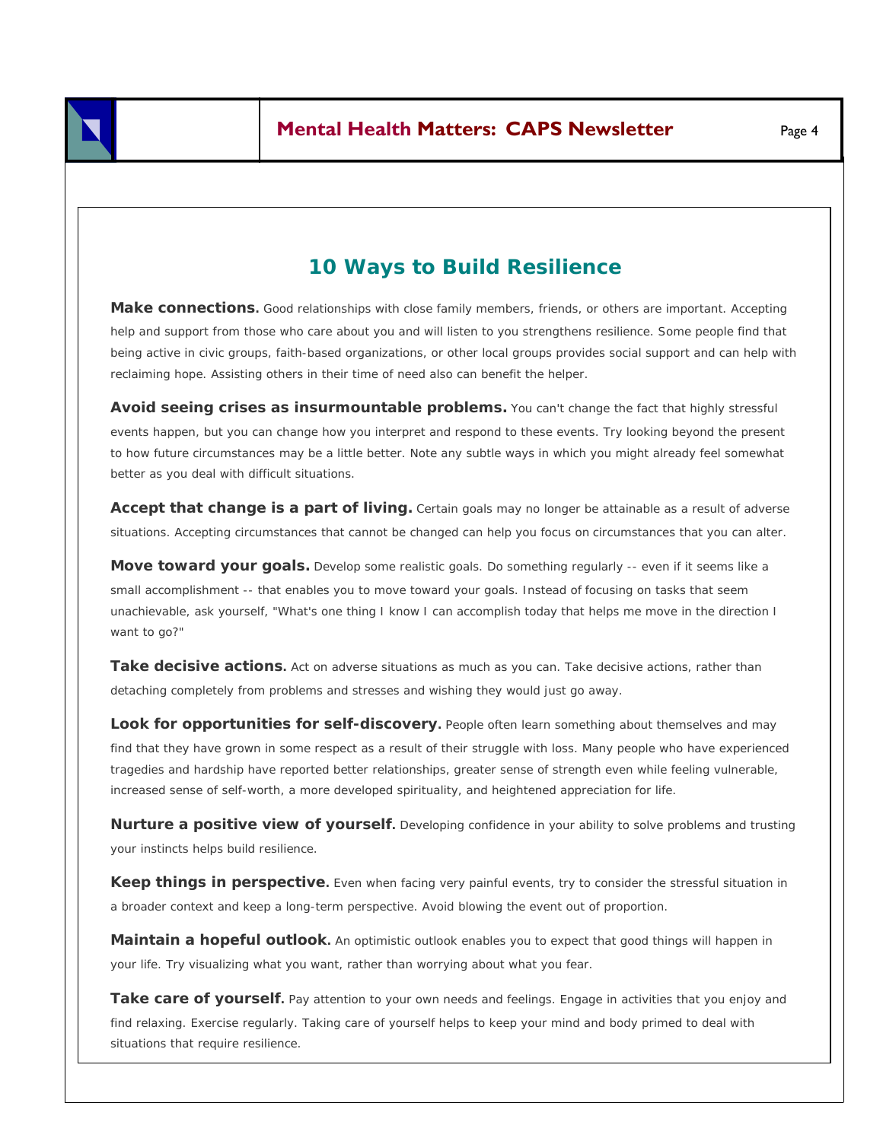֦

## **10 Ways to Build Resilience**

**Make connections.** Good relationships with close family members, friends, or others are important. Accepting help and support from those who care about you and will listen to you strengthens resilience. Some people find that being active in civic groups, faith-based organizations, or other local groups provides social support and can help with reclaiming hope. Assisting others in their time of need also can benefit the helper.

**Avoid seeing crises as insurmountable problems.** You can't change the fact that highly stressful events happen, but you can change how you interpret and respond to these events. Try looking beyond the present to how future circumstances may be a little better. Note any subtle ways in which you might already feel somewhat better as you deal with difficult situations.

**Accept that change is a part of living.** Certain goals may no longer be attainable as a result of adverse situations. Accepting circumstances that cannot be changed can help you focus on circumstances that you can alter.

**Move toward your goals.** Develop some realistic goals. Do something regularly -- even if it seems like a small accomplishment -- that enables you to move toward your goals. Instead of focusing on tasks that seem unachievable, ask yourself, "What's one thing I know I can accomplish today that helps me move in the direction I want to go?"

Take decisive actions. Act on adverse situations as much as you can. Take decisive actions, rather than detaching completely from problems and stresses and wishing they would just go away.

**Look for opportunities for self-discovery**. People often learn something about themselves and may find that they have grown in some respect as a result of their struggle with loss. Many people who have experienced tragedies and hardship have reported better relationships, greater sense of strength even while feeling vulnerable, increased sense of self-worth, a more developed spirituality, and heightened appreciation for life.

**Nurture a positive view of yourself**. Developing confidence in your ability to solve problems and trusting your instincts helps build resilience.

**Keep things in perspective.** Even when facing very painful events, try to consider the stressful situation in a broader context and keep a long-term perspective. Avoid blowing the event out of proportion.

**Maintain a hopeful outlook.** An optimistic outlook enables you to expect that good things will happen in your life. Try visualizing what you want, rather than worrying about what you fear.

Take care of yourself. Pay attention to your own needs and feelings. Engage in activities that you enjoy and find relaxing. Exercise regularly. Taking care of yourself helps to keep your mind and body primed to deal with situations that require resilience.